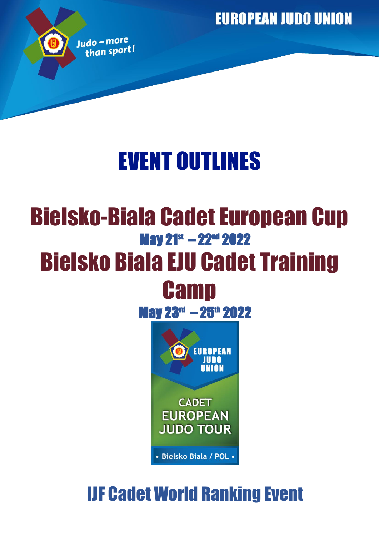**EUROPEAN JUDO UNION** 



# EVENT OUTLINES

## Bielsko-Biala Cadet European Cup May 21<sup>st</sup> – 22<sup>nd</sup> 2022 Bielsko Biala EJU Cadet Training **Camp**

May 23<sup>rd</sup> – 25<sup>th</sup> 2022



## IJF Cadet World Ranking Event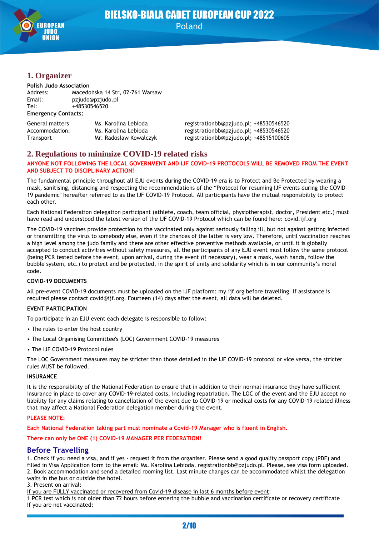

## BIELSKO-BIALA CADET EUROPEAN CUP 2022 Poland

## **1. Organizer**

#### **Polish Judo Association**

| Address:                   | Macedońska 14 Str. 02-761 Warsaw |  |  |  |
|----------------------------|----------------------------------|--|--|--|
| Email:                     | pziudo@pziudo.pl                 |  |  |  |
| Tel:                       | +48530546520                     |  |  |  |
| <b>Emergency Contacts:</b> |                                  |  |  |  |

| General matters | Ms. Karolina Lebioda   | registrationbb@pzjudo.pl; +48530546520 |
|-----------------|------------------------|----------------------------------------|
| Accommodation:  | Ms. Karolina Lebioda   | registrationbb@pzjudo.pl; +48530546520 |
| Transport       | Mr. Radosław Kowalczyk | registrationbb@pzjudo.pl; +48515100605 |

## **2. Regulations to minimize COVID-19 related risks**

#### **ANYONE NOT FOLLOWING THE LOCAL GOVERNMENT AND IJF COVID-19 PROTOCOLS WILL BE REMOVED FROM THE EVENT AND SUBJECT TO DISCIPLINARY ACTION!**

The fundamental principle throughout all EJU events during the COVID-19 era is to Protect and Be Protected by wearing a mask, sanitising, distancing and respecting the recommendations of the "Protocol for resuming IJF events during the COVID-19 pandemic" hereafter referred to as the IJF COVID-19 Protocol. All participants have the mutual responsibility to protect each other.

Each National Federation delegation participant (athlete, coach, team official, physiotherapist, doctor, President etc.) must have read and understood the latest version of the IJF COVID-19 Protocol which can be found here: covid.ijf.org

The COVID-19 vaccines provide protection to the vaccinated only against seriously falling ill, but not against getting infected or transmitting the virus to somebody else, even if the chances of the latter is very low. Therefore, until vaccination reaches a high level among the judo family and there are other effective preventive methods available, or until it is globally accepted to conduct activities without safety measures, all the participants of any EJU event must follow the same protocol (being PCR tested before the event, upon arrival, during the event (if necessary), wear a mask, wash hands, follow the bubble system, etc.) to protect and be protected, in the spirit of unity and solidarity which is in our community's moral code.

#### **COVID-19 DOCUMENTS**

All pre-event COVID-19 documents must be uploaded on the IJF platform: my.ijf.org before travelling. If assistance is required please contact covid@ijf.org. Fourteen (14) days after the event, all data will be deleted.

#### **EVENT PARTICIPATION**

To participate in an EJU event each delegate is responsible to follow:

- The rules to enter the host country
- The Local Organising Committee's (LOC) Government COVID-19 measures
- The IJF COVID-19 Protocol rules

The LOC Government measures may be stricter than those detailed in the IJF COVID-19 protocol or vice versa, the stricter rules MUST be followed.

#### **INSURANCE**

It is the responsibility of the National Federation to ensure that in addition to their normal insurance they have sufficient insurance in place to cover any COVID-19-related costs, including repatriation. The LOC of the event and the EJU accept no liability for any claims relating to cancellation of the event due to COVID-19 or medical costs for any COVID-19 related illness that may affect a National Federation delegation member during the event.

#### **PLEASE NOTE:**

**Each National Federation taking part must nominate a Covid-19 Manager who is fluent in English.**

**There can only be ONE (1) COVID-19 MANAGER PER FEDERATION!**

## **Before Travelling**

1. Check if you need a visa, and if yes - request it from the organiser. Please send a good quality passport copy (PDF) and filled in Visa Application form to the email: Ms. Karolina Lebioda, registrationbb@pzjudo.pl. Please, see visa form uploaded. 2. Book accommodation and send a detailed rooming list. Last minute changes can be accommodated whilst the delegation waits in the bus or outside the hotel.

#### 3. Present on arrival:

If you are FULLY vaccinated or recovered from Covid-19 disease in last 6 months before event:

1 PCR test which is not older than 72 hours before entering the bubble and vaccination certificate or recovery certificate If you are not vaccinated: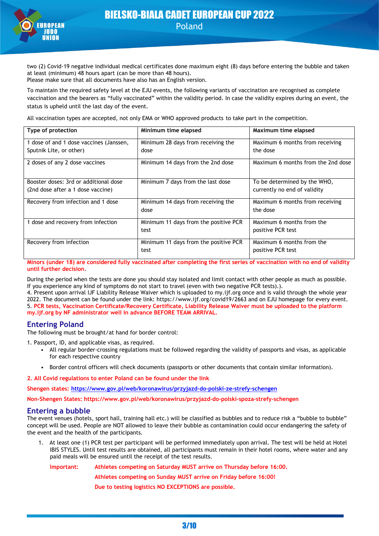

two (2) Covid-19 negative individual medical certificates done maximum eight (8) days before entering the bubble and taken at least (minimum) 48 hours apart (can be more than 48 hours). Please make sure that all documents have also has an English version.

To maintain the required safety level at the EJU events, the following variants of vaccination are recognised as complete vaccination and the bearers as "fully vaccinated" within the validity period. In case the validity expires during an event, the status is upheld until the last day of the event.

All vaccination types are accepted, not only EMA or WHO approved products to take part in the competition.

| Type of protection                      | Minimum time elapsed                  | Maximum time elapsed               |
|-----------------------------------------|---------------------------------------|------------------------------------|
| 1 dose of and 1 dose vaccines (Janssen, | Minimum 28 days from receiving the    | Maximum 6 months from receiving    |
| Sputnik Lite, or other)                 | dose                                  | the dose                           |
| 2 doses of any 2 dose vaccines          | Minimum 14 days from the 2nd dose     | Maximum 6 months from the 2nd dose |
| Booster doses: 3rd or additional dose   | Minimum 7 days from the last dose     | To be determined by the WHO,       |
| (2nd dose after a 1 dose vaccine)       |                                       | currently no end of validity       |
| Recovery from infection and 1 dose      | Minimum 14 days from receiving the    | Maximum 6 months from receiving    |
|                                         | dose                                  | the dose                           |
| 1 dose and recovery from infection      | Minimum 11 days from the positive PCR | Maximum 6 months from the          |
|                                         | test                                  | positive PCR test                  |
| Recovery from infection                 | Minimum 11 days from the positive PCR | Maximum 6 months from the          |
|                                         | test                                  | positive PCR test                  |

**Minors (under 18) are considered fully vaccinated after completing the first series of vaccination with no end of validity until further decision**.

During the period when the tests are done you should stay isolated and limit contact with other people as much as possible. If you experience any kind of symptoms do not start to travel (even with two negative PCR tests).).

4. Present upon arrival IJF Liability Release Waiver which is uploaded to my.ijf.org once and is valid through the whole year 2022. The document can be found under the link: https://www.ijf.org/covid19/2663 and on EJU homepage for every event. 5. **PCR tests, Vaccination Certificate/Recovery Certificate, Liability Release Waiver must be uploaded to the platform my.ijf.org by NF administrator well in advance BEFORE TEAM ARRIVAL.**

## **Entering Poland**

The following must be brought/at hand for border control:

1. Passport, ID, and applicable visas, as required.

- All regular border-crossing regulations must be followed regarding the validity of passports and visas, as applicable for each respective country
- Border control officers will check documents (passports or other documents that contain similar information).

**2. All Covid regulations to enter Poland can be found under the link**

**Shengen states: <https://www.gov.pl/web/koronawirus/przyjazd-do-polski-ze-strefy-schengen>**

**Non-Shengen States: https://www.gov.pl/web/koronawirus/przyjazd-do-polski-spoza-strefy-schengen**

#### **Entering a bubble**

The event venues (hotels, sport hall, training hall etc.) will be classified as bubbles and to reduce risk a "bubble to bubble" concept will be used. People are NOT allowed to leave their bubble as contamination could occur endangering the safety of the event and the health of the participants.

1. At least one (1) PCR test per participant will be performed immediately upon arrival. The test will be held at Hotel IBIS STYLES. Until test results are obtained, all participants must remain in their hotel rooms, where water and any paid meals will be ensured until the receipt of the test results.

**Important: Athletes competing on Saturday MUST arrive on Thursday before 16:00.**

**Athletes competing on Sunday MUST arrive on Friday before 16:00!**

**Due to testing logistics NO EXCEPTIONS are possible.**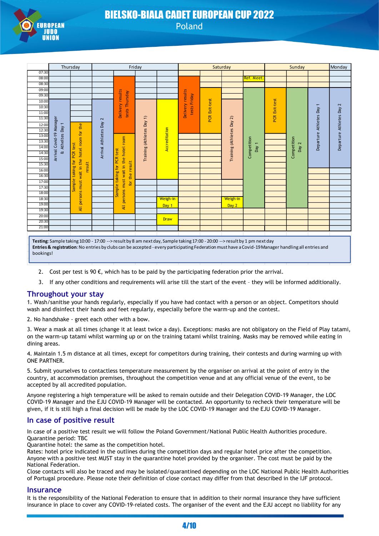

## BIELSKO-BIALA CADET EUROPEAN CUP 2022 Poland

|           |                          | Thursday                         | Friday               |                   |                                          |                         |               |                                  | Saturday      |                         |                                                                                                                                                    | Sunday        |              | Monday                 |                        |
|-----------|--------------------------|----------------------------------|----------------------|-------------------|------------------------------------------|-------------------------|---------------|----------------------------------|---------------|-------------------------|----------------------------------------------------------------------------------------------------------------------------------------------------|---------------|--------------|------------------------|------------------------|
| 07:30     |                          |                                  |                      |                   |                                          |                         |               |                                  |               |                         |                                                                                                                                                    |               |              |                        |                        |
| 08:00     |                          |                                  |                      |                   |                                          |                         |               |                                  |               |                         | <b>Ref. Meet</b>                                                                                                                                   |               |              |                        |                        |
| 08:30     |                          |                                  |                      |                   |                                          |                         |               |                                  |               |                         |                                                                                                                                                    |               |              |                        |                        |
| 09:00     |                          |                                  |                      |                   |                                          |                         |               |                                  |               |                         |                                                                                                                                                    |               |              |                        |                        |
| 09:30     |                          |                                  |                      |                   |                                          |                         |               |                                  |               |                         |                                                                                                                                                    |               |              |                        |                        |
| 10:00     |                          |                                  |                      | Delivery results  | tests Thursday                           |                         |               | Delivery results<br>tests Friday | PCR Exit-test |                         |                                                                                                                                                    | PCR Exit-test |              |                        |                        |
| 10:30     |                          |                                  |                      |                   |                                          |                         |               |                                  |               |                         |                                                                                                                                                    |               |              | ٣                      | $\mathbf{r}$           |
| 11:00     |                          |                                  |                      |                   |                                          |                         |               |                                  |               |                         |                                                                                                                                                    |               |              |                        |                        |
| 11:30     |                          |                                  | 2                    |                   |                                          | $\widehat{\phantom{a}}$ |               |                                  |               | $\widehat{\mathcal{L}}$ |                                                                                                                                                    |               |              |                        |                        |
| 12:00     |                          |                                  |                      |                   |                                          |                         |               |                                  |               |                         |                                                                                                                                                    |               |              |                        |                        |
| 12:30     |                          |                                  |                      |                   |                                          |                         |               |                                  |               |                         |                                                                                                                                                    |               |              |                        |                        |
| 13:00     |                          |                                  |                      |                   |                                          |                         |               |                                  |               |                         |                                                                                                                                                    |               |              | Departure Athletes Day |                        |
| 13:30     |                          |                                  |                      |                   | room                                     |                         |               |                                  |               |                         |                                                                                                                                                    |               | $\mathbf{z}$ |                        |                        |
| 14:00     | & Atheltes Day 1         | test                             |                      |                   |                                          |                         | Accreditation |                                  |               |                         | Day 1                                                                                                                                              |               | Day          |                        | Departure Athletes Day |
| 14:30     | Arrival Covid-19 Manager | hotel room for the<br><b>PCR</b> | Arrival Athletes Day | test              | hotel                                    | Training (Athletes Day  |               |                                  |               | Training (Athletes Day  | Competition                                                                                                                                        |               | Competition  |                        |                        |
| 15:00     |                          | the                              |                      | PCR <sub></sub>   | the                                      |                         |               |                                  |               |                         |                                                                                                                                                    |               |              |                        |                        |
| 15:30     |                          | tor<br>result                    |                      | tor               |                                          |                         |               |                                  |               |                         |                                                                                                                                                    |               |              |                        |                        |
| 16:00     |                          | taking<br>wait in                |                      |                   |                                          |                         |               |                                  |               |                         |                                                                                                                                                    |               |              |                        |                        |
| 16:30     |                          |                                  |                      | taking            | the result                               |                         |               |                                  |               |                         |                                                                                                                                                    |               |              |                        |                        |
| 17:00     |                          | ample<br>All persons must        |                      | $\mathbf{\omega}$ | All persons must wait in<br>$\mathbf{p}$ |                         |               |                                  |               |                         |                                                                                                                                                    |               |              |                        |                        |
| 17:30     |                          |                                  |                      | Jampl             |                                          |                         |               |                                  |               |                         |                                                                                                                                                    |               |              |                        |                        |
| 18:00     |                          |                                  |                      |                   |                                          |                         |               |                                  |               |                         |                                                                                                                                                    |               |              |                        |                        |
| 18:30     |                          |                                  |                      |                   |                                          |                         | Weigh-in      |                                  |               | Weigh-in                |                                                                                                                                                    |               |              |                        |                        |
| 19:00     |                          |                                  |                      |                   |                                          |                         | Day 1         |                                  |               | Day 2                   |                                                                                                                                                    |               |              |                        |                        |
| 19:30     |                          |                                  |                      |                   |                                          |                         |               |                                  |               |                         |                                                                                                                                                    |               |              |                        |                        |
| 20:00     |                          |                                  |                      |                   |                                          |                         | <b>Draw</b>   |                                  |               |                         |                                                                                                                                                    |               |              |                        |                        |
| 20:30     |                          |                                  |                      |                   |                                          |                         |               |                                  |               |                         |                                                                                                                                                    |               |              |                        |                        |
| 21:00     |                          |                                  |                      |                   |                                          |                         |               |                                  |               |                         |                                                                                                                                                    |               |              |                        |                        |
|           |                          |                                  |                      |                   |                                          |                         |               |                                  |               |                         |                                                                                                                                                    |               |              |                        |                        |
|           |                          |                                  |                      |                   |                                          |                         |               |                                  |               |                         | Testing: Sample taking 10:00 - 17:00 --> result by 8 am next day, Sample taking 17:00 - 20:00 --> result by 1 pm next day                          |               |              |                        |                        |
|           |                          |                                  |                      |                   |                                          |                         |               |                                  |               |                         | Entries & registration: No entries by clubs can be accepted - every participating Federation must have a Covid-19 Manager handling all entries and |               |              |                        |                        |
| bookings! |                          |                                  |                      |                   |                                          |                         |               |                                  |               |                         |                                                                                                                                                    |               |              |                        |                        |

- 2. Cost per test is 90  $\epsilon$ , which has to be paid by the participating federation prior the arrival.
- 3. If any other conditions and requirements will arise till the start of the event they will be informed additionally.

## **Throughout your stay**

1. Wash/sanitise your hands regularly, especially if you have had contact with a person or an object. Competitors should wash and disinfect their hands and feet regularly, especially before the warm-up and the contest.

2. No handshake - greet each other with a bow.

3. Wear a mask at all times (change it at least twice a day). Exceptions: masks are not obligatory on the Field of Play tatami, on the warm-up tatami whilst warming up or on the training tatami whilst training. Masks may be removed while eating in dining areas.

4. Maintain 1.5 m distance at all times, except for competitors during training, their contests and during warming up with ONE PARTNER.

5. Submit yourselves to contactless temperature measurement by the organiser on arrival at the point of entry in the country, at accommodation premises, throughout the competition venue and at any official venue of the event, to be accepted by all accredited population.

Anyone registering a high temperature will be asked to remain outside and their Delegation COVID-19 Manager, the LOC COVID-19 Manager and the EJU COVID-19 Manager will be contacted. An opportunity to recheck their temperature will be given, if it is still high a final decision will be made by the LOC COVID-19 Manager and the EJU COVID-19 Manager.

## **In case of positive result**

In case of a positive test result we will follow the Poland Government/National Public Health Authorities procedure. Quarantine period: TBC

Quarantine hotel: the same as the competition hotel.

Rates: hotel price indicated in the outlines during the competition days and regular hotel price after the competition. Anyone with a positive test MUST stay in the quarantine hotel provided by the organiser. The cost must be paid by the National Federation.

Close contacts will also be traced and may be isolated/quarantined depending on the LOC National Public Health Authorities of Portugal procedure. Please note their definition of close contact may differ from that described in the IJF protocol.

#### **Insurance**

It is the responsibility of the National Federation to ensure that in addition to their normal insurance they have sufficient insurance in place to cover any COVID-19-related costs. The organiser of the event and the EJU accept no liability for any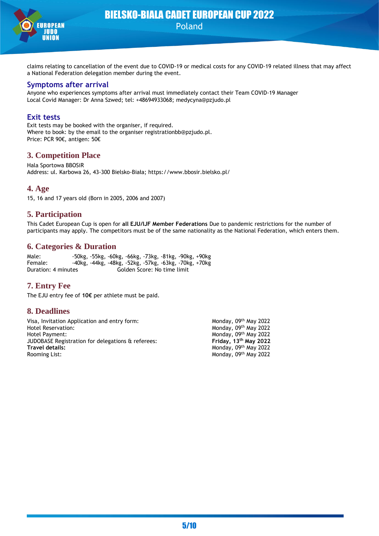

claims relating to cancellation of the event due to COVID-19 or medical costs for any COVID-19 related illness that may affect a National Federation delegation member during the event.

#### **Symptoms after arrival**

Anyone who experiences symptoms after arrival must immediately contact their Team COVID-19 Manager Local Covid Manager: Dr Anna Szwed; tel: +48694933068; medycyna@pzjudo.pl

## **Exit tests**

Exit tests may be booked with the organiser, if required. Where to book: by the email to the organiser registrationbb@pzjudo.pl. Price: PCR 90€, antigen: 50€

## **3. Competition Place**

Hala Sportowa BBOSiR Address: ul. Karbowa 26, 43-300 Bielsko-Biała; https://www.bbosir.bielsko.pl/

#### **4. Age**

15, 16 and 17 years old (Born in 2005, 2006 and 2007)

## **5. Participation**

This Cadet European Cup is open for **all EJU/IJF Member Federations** Due to pandemic restrictions for the number of participants may apply. The competitors must be of the same nationality as the National Federation, which enters them.

## **6. Categories & Duration**

Male: -50kg, -55kg, -60kg, -66kg, -73kg, -81kg, -90kg, +90kg Female: -40kg, -44kg, -48kg, -52kg, -57kg, -63kg, -70kg, +70kg Duration: 4 minutes Golden Score: No time limit

## **7. Entry Fee**

The EJU entry fee of **10€** per athlete must be paid.

## **8. Deadlines**

| Visa, Invitation Application and entry form:      | Monday, 09th May 2022   |
|---------------------------------------------------|-------------------------|
| Hotel Reservation:                                | Monday, 09th May 2022   |
| <b>Hotel Payment:</b>                             | Monday, 09th May 2022   |
| JUDOBASE Registration for delegations & referees: | Friday, $13th$ May 2022 |
| Travel details:                                   | Monday, 09th May 2022   |
| Rooming List:                                     | Monday, 09th May 2022   |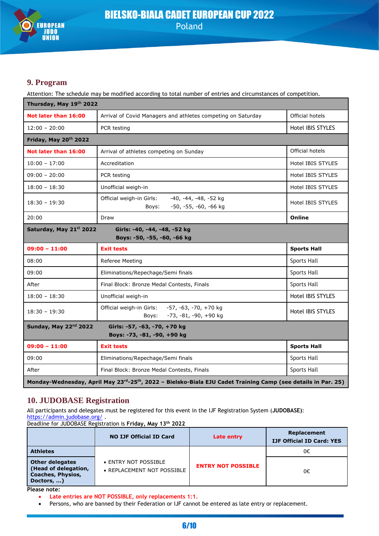

## **9. Program**

Attention: The schedule may be modified according to total number of entries and circumstances of competition.

| Thursday, May 19th 2022                                                                |                                                                                     |                    |  |  |
|----------------------------------------------------------------------------------------|-------------------------------------------------------------------------------------|--------------------|--|--|
| Not later than 16:00                                                                   | Arrival of Covid Managers and athletes competing on Saturday                        | Official hotels    |  |  |
| $12:00 - 20:00$                                                                        | PCR testing                                                                         | Hotel IBIS STYLES  |  |  |
| Friday, May 20 <sup>th</sup> 2022                                                      |                                                                                     |                    |  |  |
| Not later than 16:00                                                                   | Arrival of athletes competing on Sunday                                             | Official hotels    |  |  |
| $10:00 - 17:00$                                                                        | Accreditation                                                                       | Hotel IBIS STYLES  |  |  |
| $09:00 - 20:00$                                                                        | PCR testing                                                                         | Hotel IBIS STYLES  |  |  |
| $18:00 - 18:30$                                                                        | Unofficial weigh-in                                                                 | Hotel IBIS STYLES  |  |  |
| $18:30 - 19:30$                                                                        | -40, -44, -48, -52 kg<br>Official weigh-in Girls:<br>-50, -55, -60, -66 kg<br>Boys: | Hotel IBIS STYLES  |  |  |
| 20:00                                                                                  | Draw                                                                                | Online             |  |  |
| Saturday, May 21st 2022<br>Girls: -40, -44, -48, -52 kg<br>Boys: -50, -55, -60, -66 kg |                                                                                     |                    |  |  |
|                                                                                        |                                                                                     |                    |  |  |
| $09:00 - 11:00$                                                                        | <b>Exit tests</b>                                                                   | <b>Sports Hall</b> |  |  |
| 08:00                                                                                  | Referee Meeting                                                                     | <b>Sports Hall</b> |  |  |
| 09:00                                                                                  | Eliminations/Repechage/Semi finals                                                  | Sports Hall        |  |  |
| After                                                                                  | Final Block: Bronze Medal Contests, Finals                                          | Sports Hall        |  |  |
| $18:00 - 18:30$                                                                        | Unofficial weigh-in                                                                 | Hotel IBIS STYLES  |  |  |
| $18:30 - 19:30$                                                                        | Official weigh-in Girls: -57, -63, -70, +70 kg<br>-73, -81, -90, +90 kg<br>Boys:    | Hotel IBIS STYLES  |  |  |
| Sunday, May 22 <sup>nd</sup> 2022                                                      | Girls: -57, -63, -70, +70 kg                                                        |                    |  |  |
|                                                                                        | Boys: -73, -81, -90, +90 kg                                                         |                    |  |  |
| $09:00 - 11:00$                                                                        | <b>Exit tests</b>                                                                   | <b>Sports Hall</b> |  |  |
| 09:00                                                                                  | Eliminations/Repechage/Semi finals                                                  | Sports Hall        |  |  |
| After                                                                                  | Final Block: Bronze Medal Contests, Finals                                          | <b>Sports Hall</b> |  |  |

## **10. JUDOBASE Registration**

All participants and delegates must be registered for this event in the IJF Registration System (**JUDOBASE)**: <https://admin.judobase.org/>

Deadline for JUDOBASE Registration is **Friday, May 13th 2022**

|                                                                                          | <b>NO IJF Official ID Card</b>                     | Late entry                | Replacement<br><b>IJF Official ID Card: YES</b> |
|------------------------------------------------------------------------------------------|----------------------------------------------------|---------------------------|-------------------------------------------------|
| <b>Athletes</b>                                                                          |                                                    |                           | 0€                                              |
| <b>Other delegates</b><br>(Head of delegation,<br><b>Coaches, Physios,</b><br>Doctors, ) | • ENTRY NOT POSSIBLE<br>• REPLACEMENT NOT POSSIBLE | <b>ENTRY NOT POSSIBLE</b> | 0€                                              |

**Please note:**

• **Late entries are NOT POSSIBLE, only replacements 1:1.**

Persons, who are banned by their Federation or IJF cannot be entered as late entry or replacement.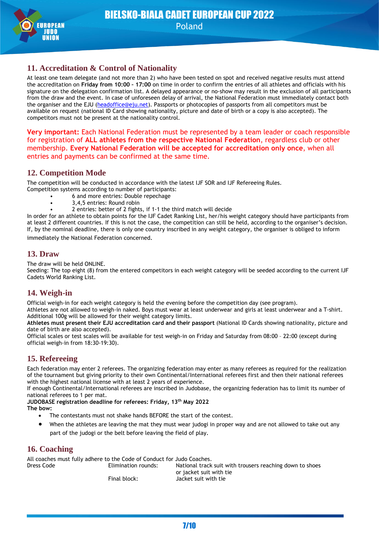

## **11. Accreditation & Control of Nationality**

At least one team delegate (and not more than 2) who have been tested on spot and received negative results must attend the accreditation on **Friday from 10:00 – 17:00** on time in order to confirm the entries of all athletes and officials with his signature on the delegation confirmation list. A delayed appearance or no-show may result in the exclusion of all participants from the draw and the event. In case of unforeseen delay of arrival, the National Federation must immediately contact both the organiser and the EJU [\(headoffice@eju.net\)](mailto:headoffice@eju.net). Passports or photocopies of passports from all competitors must be available on request (national ID Card showing nationality, picture and date of birth or a copy is also accepted). The competitors must not be present at the nationality control.

**Very important:** Each National Federation must be represented by a team leader or coach responsible for registration of **ALL athletes from the respective National Federation**, regardless club or other membership. **Every National Federation will be accepted for accreditation only once**, when all entries and payments can be confirmed at the same time.

## **12. Competition Mode**

The competition will be conducted in accordance with the latest IJF SOR and IJF Refereeing Rules.

- Competition systems according to number of participants:
	- 6 and more entries: Double repechage
	- 3,4,5 entries: Round robin
	- 2 entries: better of 2 fights, if 1-1 the third match will decide

In order for an athlete to obtain points for the IJF Cadet Ranking List, her/his weight category should have participants from at least 2 different countries. If this is not the case, the competition can still be held, according to the organiser's decision. If, by the nominal deadline, there is only one country inscribed in any weight category, the organiser is obliged to inform immediately the National Federation concerned.

## **13. Draw**

The draw will be held ONLINE.

Seeding: The top eight (8) from the entered competitors in each weight category will be seeded according to the current IJF Cadets World Ranking List.

## **14. Weigh-in**

Official weigh-in for each weight category is held the evening before the competition day (see program).

Athletes are not allowed to weigh-in naked. Boys must wear at least underwear and girls at least underwear and a T-shirt. Additional 100g will be allowed for their weight category limits.

**Athletes must present their EJU accreditation card and their passport** (National ID Cards showing nationality, picture and date of birth are also accepted).

Official scales or test scales will be available for test weigh-in on Friday and Saturday from 08:00 – 22:00 (except during official weigh-in from 18:30-19:30).

## **15. Refereeing**

Each federation may enter 2 referees. The organizing federation may enter as many referees as required for the realization of the tournament but giving priority to their own Continental/International referees first and then their national referees with the highest national license with at least 2 years of experience.

If enough Continental/International referees are inscribed in Judobase, the organizing federation has to limit its number of national referees to 1 per mat.

**JUDOBASE registration deadline for referees: Friday, 13th May 2022**

- **The bow:**
	- The contestants must not shake hands BEFORE the start of the contest.
	- When the athletes are leaving the mat they must wear judogi in proper way and are not allowed to take out any part of the judogi or the belt before leaving the field of play.

## **16. Coaching**

All coaches must fully adhere to the Code of Conduct for Judo Coaches. Dress Code Elimination rounds: National track suit with trousers reaching down to shoes or jacket suit with tie Final block: Jacket suit with tie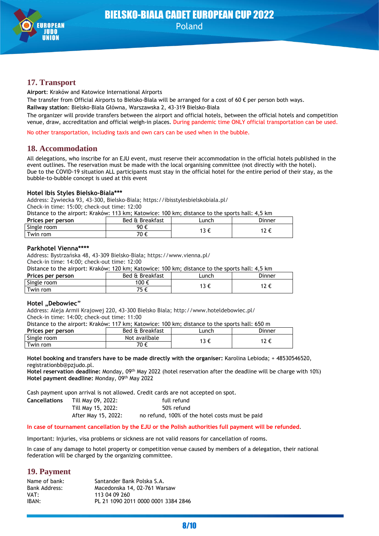

## **17. Transport**

**Airport**: Kraków and Katowice International Airports

The transfer from Official Airports to Bielsko-Biala will be arranged for a cost of 60  $\epsilon$  per person both ways.

**Railway station**: Bielsko-Biała Główna, Warszawska 2, 43-319 Bielsko-Biała

The organizer will provide transfers between the airport and official hotels, between the official hotels and competition venue, draw, accreditation and official weigh-in places. During pandemic time ONLY official transportation can be used.

No other transportation, including taxis and own cars can be used when in the bubble.

## **18. Accommodation**

All delegations, who inscribe for an EJU event, must reserve their accommodation in the official hotels published in the event outlines. The reservation must be made with the local organising committee (not directly with the hotel). Due to the COVID-19 situation ALL participants must stay in the official hotel for the entire period of their stay, as the bubble-to-bubble concept is used at this event

#### **Hotel Ibis Styles Bielsko-Biala\*\*\***

Address: Zywiecka 93, 43-300, Bielsko-Biala; https://ibisstylesbielskobiala.pl/ Сheck-in time: 15:00; check-out time: 12:00

Distance to the airport: Kraków: 113 km; Katowice: 100 km; distance to the sports hall: 4,5 km

| Prices per person | Bed & Breakfast<br>_unch |      | Dinner |
|-------------------|--------------------------|------|--------|
| Single room       | 90 €                     |      |        |
| Twin rom          | 7∩ £<br>v                | ت را |        |

#### **Parkhotel Vienna\*\*\*\***

Address: Bystrzańska 48, 43-309 Bielsko-Biała; https://www.vienna.pl/ Сheck-in time: 14:00; check-out time: 12:00

Distance to the airport: Kraków: 120 km; Katowice: 100 km; distance to the sports hall: 4,5 km

|                   | - Dealing to the angles in another two ning naturities. The ning angles to the spulle name it in |  |        |  |  |
|-------------------|--------------------------------------------------------------------------------------------------|--|--------|--|--|
| Prices per person | Bed & Breakfast<br>unch-                                                                         |  | Dinner |  |  |
| Single room       | 100 €                                                                                            |  |        |  |  |
| Twin rom          |                                                                                                  |  |        |  |  |

#### **Hotel "Debowiec"**

Address: Aleja Armii Krajowej 220, 43-300 Bielsko Biala; http://www.hoteldebowiec.pl/ Сheck-in time: 14:00; check-out time: 11:00

Distance to the airport: Kraków: 117 km; Katowice: 100 km; distance to the sports hall: 650 m

| Prices per person | Bed & Breakfast<br>∟unch |      | Dinner |  |
|-------------------|--------------------------|------|--------|--|
| Single room       | Not availbale            |      | 12C    |  |
| Twin rom          | 70 €                     | 13 € | 1 L    |  |

#### **Hotel booking and transfers have to be made directly with the organiser:** Karolina Lebioda; + 48530546520, registrationbb@pzjudo.pl.

Hotel reservation deadline: Monday, 09<sup>th</sup> May 2022 (hotel reservation after the deadline will be charge with 10%) Hotel payment deadline: Monday, 09<sup>th</sup> May 2022

Cash payment upon arrival is not allowed. Credit cards are not accepted on spot.

| Cancellations | Till May 09, 2022:  | full refund                                     |
|---------------|---------------------|-------------------------------------------------|
|               | Till May 15, 2022:  | 50% refund                                      |
|               | After May 15, 2022: | no refund, 100% of the hotel costs must be paid |

#### **In case of tournament cancellation by the EJU or the Polish authorities full payment will be refunded**.

Important: Injuries, visa problems or sickness are not valid reasons for cancellation of rooms.

In case of any damage to hotel property or competition venue caused by members of a delegation, their national federation will be charged by the organizing committee.

## **19. Payment**

| Name of bank: | Santander Bank Polska S.A.          |
|---------------|-------------------------------------|
| Bank Address: | Macedonska 14, 02-761 Warsaw        |
| VAT:          | 113 04 09 260                       |
| IBAN:         | PL 21 1090 2011 0000 0001 3384 2846 |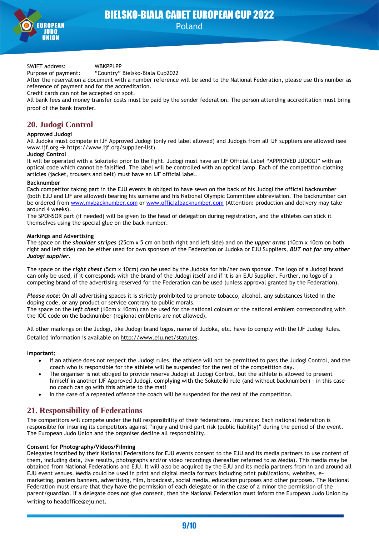

SWIFT address: WBKPPLPP

Purpose of payment: "Country" Bielsko-Biala Cup2022

After the reservation a document with a number reference will be send to the National Federation, please use this number as reference of payment and for the accreditation.

Credit cards can not be accepted on spot.

All bank fees and money transfer costs must be paid by the sender federation. The person attending accreditation must bring proof of the bank transfer.

## **20. Judogi Control**

#### **Approved Judogi**

All Judoka must compete in IJF Approved Judogi (only red label allowed) and Judogis from all IJF suppliers are allowed (see www.ijf.org → https://www.ijf.org/supplier-list).

#### **Judogi Control**

It will be operated with a Sokuteiki prior to the fight. Judogi must have an IJF Official Label "APPROVED JUDOGI" with an optical code which cannot be falsified. The label will be controlled with an optical lamp. Each of the competition clothing articles (jacket, trousers and belt) must have an IJF official label.

#### **Backnumber**

Each competitor taking part in the EJU events is obliged to have sewn on the back of his Judogi the official backnumber (both EJU and IJF are allowed) bearing his surname and his National Olympic Committee abbreviation. The backnumber can be ordered from [www.mybacknumber.com](http://www.mybacknumber.com/) or [www.officialbacknumber.com](http://www.officialbacknumber.com/) (Attention: production and delivery may take around 4 weeks).

The SPONSOR part (if needed) will be given to the head of delegation during registration, and the athletes can stick it themselves using the special glue on the back number.

#### **Markings and Advertising**

The space on the *shoulder stripes* (25cm x 5 cm on both right and left side) and on the *upper arms* (10cm x 10cm on both right and left side) can be either used for own sponsors of the Federation or Judoka or EJU Suppliers, *BUT not for any other Judogi supplier*.

The space on the *right chest* (5cm x 10cm) can be used by the Judoka for his/her own sponsor. The logo of a Judogi brand can only be used, if it corresponds with the brand of the Judogi itself and if it is an EJU Supplier. Further, no logo of a competing brand of the advertising reserved for the Federation can be used (unless approval granted by the Federation).

*Please note*: On all advertising spaces it is strictly prohibited to promote tobacco, alcohol, any substances listed in the doping code, or any product or service contrary to public morals.

The space on the *left chest* (10cm x 10cm) can be used for the national colours or the national emblem corresponding with the IOC code on the backnumber (regional emblems are not allowed).

All other markings on the Judogi, like Judogi brand logos, name of Judoka, etc. have to comply with the IJF Judogi Rules. Detailed information is available on<http://www.eju.net/statutes>.

#### **Important:**

- If an athlete does not respect the Judogi rules, the athlete will not be permitted to pass the Judogi Control, and the coach who is responsible for the athlete will be suspended for the rest of the competition day.
- The organiser is not obliged to provide reserve Judogi at Judogi Control, but the athlete is allowed to present himself in another IJF Approved Judogi, complying with the Sokuteiki rule (and without backnumber) - in this case no coach can go with this athlete to the mat!
- In the case of a repeated offence the coach will be suspended for the rest of the competition.

## **21. Responsibility of Federations**

The competitors will compete under the full responsibility of their federations. Insurance: Each national federation is responsible for insuring its competitors against "injury and third part risk (public liability)" during the period of the event. The European Judo Union and the organiser decline all responsibility.

#### **Consent for Photography/Videos/Filming**

Delegates inscribed by their National Federations for EJU events consent to the EJU and its media partners to use content of them, including data, live results, photographs and/or video recordings (hereafter referred to as Media). This media may be obtained from National Federations and EJU. It will also be acquired by the EJU and its media partners from in and around all EJU event venues. Media could be used in print and digital media formats including print publications, websites, emarketing, posters banners, advertising, film, broadcast, social media, education purposes and other purposes. The National Federation must ensure that they have the permission of each delegate or in the case of a minor the permission of the parent/guardian. If a delegate does not give consent, then the National Federation must inform the European Judo Union by writing to headoffice@eju.net.